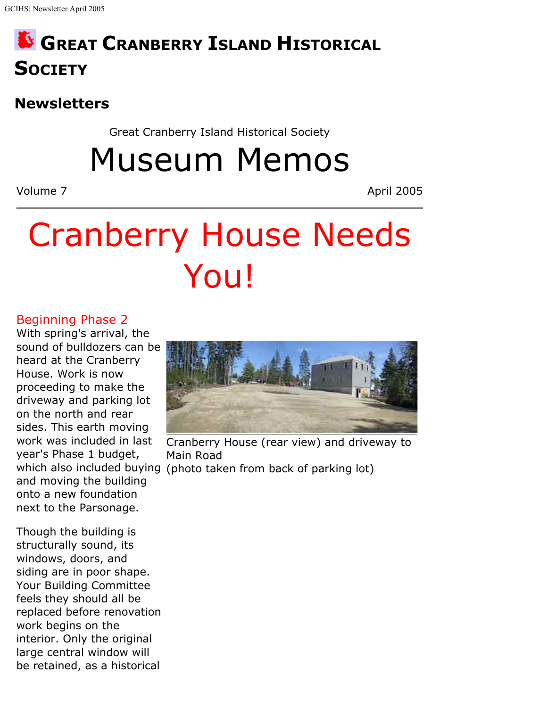# **GREAT CRANBERRY ISLAND HISTORICAL SOCIETY**

## **Newsletters**

Great Cranberry Island Historical Society

Museum Memos

Volume 7 April 2005

# Cranberry House Needs You!

#### Beginning Phase 2

With spring's arrival, the sound of bulldozers can be heard at the Cranberry House. Work is now proceeding to make the driveway and parking lot on the north and rear sides. This earth moving work was included in last year's Phase 1 budget, and moving the building onto a new foundation next to the Parsonage.

Though the building is structurally sound, its windows, doors, and siding are in poor shape. Your Building Committee feels they should all be replaced before renovation work begins on the interior. Only the original large central window will be retained, as a historical



which also included buying (photo taken from back of parking lot) Cranberry House (rear view) and driveway to Main Road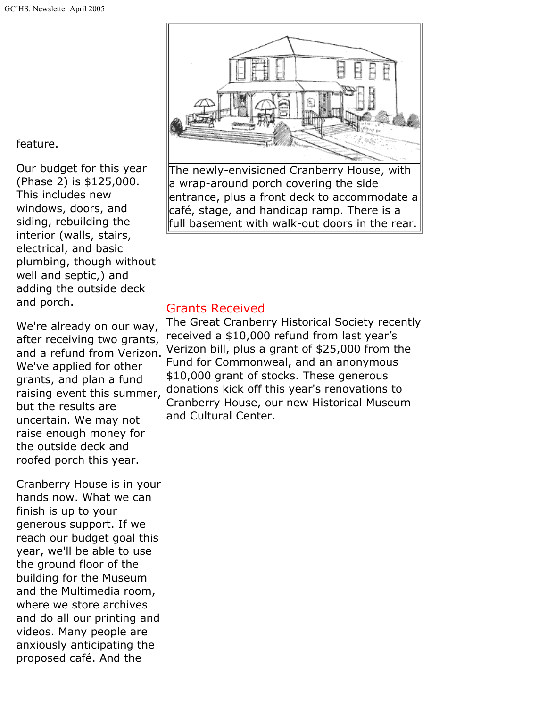feature.

Our budget for this year (Phase 2) is \$125,000. This includes new windows, doors, and siding, rebuilding the interior (walls, stairs, electrical, and basic plumbing, though without well and septic,) and adding the outside deck and porch.

We're already on our way, after receiving two grants, and a refund from Verizon. We've applied for other grants, and plan a fund raising event this summer, but the results are uncertain. We may not raise enough money for the outside deck and roofed porch this year.

Cranberry House is in your hands now. What we can finish is up to your generous support. If we reach our budget goal this year, we'll be able to use the ground floor of the building for the Museum and the Multimedia room, where we store archives and do all our printing and videos. Many people are anxiously anticipating the proposed café. And the



The newly-envisioned Cranberry House, with a wrap-around porch covering the side entrance, plus a front deck to accommodate a café, stage, and handicap ramp. There is a full basement with walk-out doors in the rear.

#### Grants Received

The Great Cranberry Historical Society recently received a \$10,000 refund from last year's Verizon bill, plus a grant of \$25,000 from the Fund for Commonweal, and an anonymous \$10,000 grant of stocks. These generous donations kick off this year's renovations to Cranberry House, our new Historical Museum and Cultural Center.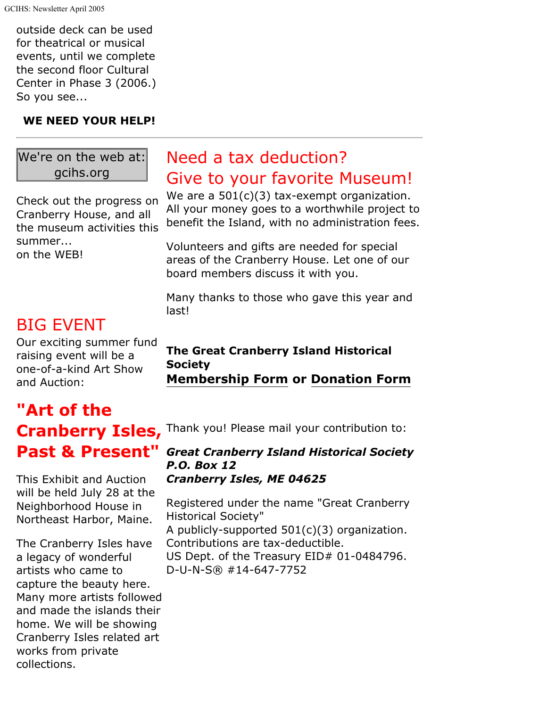outside deck can be used for theatrical or musical events, until we complete the second floor Cultural Center in Phase 3 (2006.) So you see...

#### **WE NEED YOUR HELP!**

#### We're on the web at: gcihs.org

Check out the progress on Cranberry House, and all the museum activities this summer...

on the WEB!

### BIG EVENT

Our exciting summer fund raising event will be a one-of-a-kind Art Show and Auction:

# **"Art of the Past & Present"**

This Exhibit and Auction will be held July 28 at the Neighborhood House in Northeast Harbor, Maine.

The Cranberry Isles have a legacy of wonderful artists who came to capture the beauty here. Many more artists followed and made the islands their home. We will be showing Cranberry Isles related art works from private collections.

## Need a tax deduction? Give to your favorite Museum!

We are a  $501(c)(3)$  tax-exempt organization. All your money goes to a worthwhile project to benefit the Island, with no administration fees.

Volunteers and gifts are needed for special areas of the Cranberry House. Let one of our board members discuss it with you.

Many thanks to those who gave this year and last!

#### **The Great Cranberry Island Historical Society Membership Form or Donation Form**

Cranberry Isles, Thank you! Please mail your contribution to:

#### *Great Cranberry Island Historical Society P.O. Box 12 Cranberry Isles, ME 04625*

Registered under the name "Great Cranberry Historical Society" A publicly-supported 501(c)(3) organization. Contributions are tax-deductible. US Dept. of the Treasury EID# 01-0484796. D-U-N-S® #14-647-7752